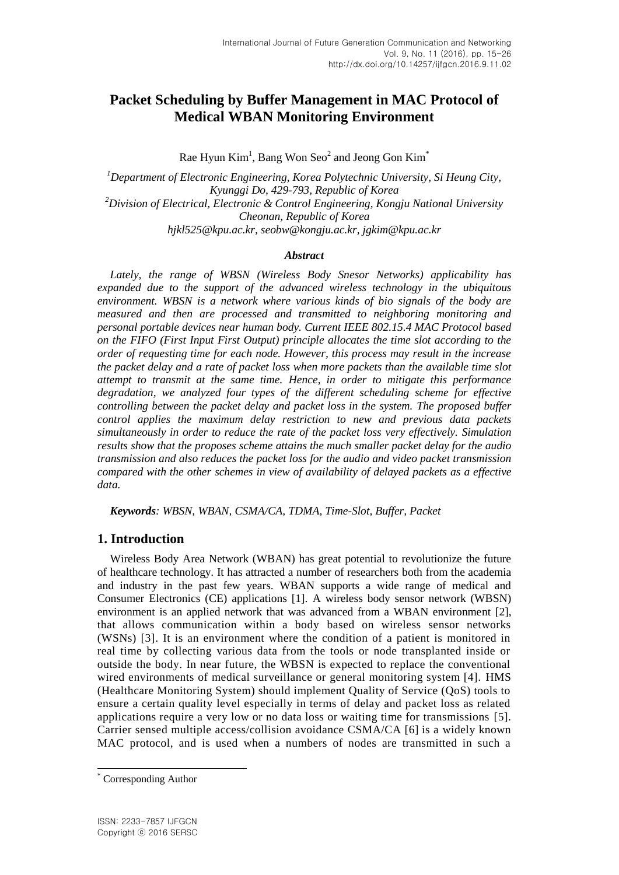# **Packet Scheduling by Buffer Management in MAC Protocol of Medical WBAN Monitoring Environment**

Rae Hyun  $Kim<sup>1</sup>$ , Bang Won Seo<sup>2</sup> and Jeong Gon Kim<sup>\*</sup>

*<sup>1</sup>Department of Electronic Engineering, Korea Polytechnic University, Si Heung City, Kyunggi Do, 429-793, Republic of Korea <sup>2</sup>Division of Electrical, Electronic & Control Engineering, Kongju National University Cheonan, Republic of Korea hjkl525@kpu.ac.kr, seobw@kongju.ac.kr, jgkim@kpu.ac.kr*

#### *Abstract*

*Lately, the range of WBSN (Wireless Body Snesor Networks) applicability has expanded due to the support of the advanced wireless technology in the ubiquitous environment. WBSN is a network where various kinds of bio signals of the body are measured and then are processed and transmitted to neighboring monitoring and personal portable devices near human body. Current IEEE 802.15.4 MAC Protocol based on the FIFO (First Input First Output) principle allocates the time slot according to the order of requesting time for each node. However, this process may result in the increase the packet delay and a rate of packet loss when more packets than the available time slot attempt to transmit at the same time. Hence, in order to mitigate this performance degradation, we analyzed four types of the different scheduling scheme for effective controlling between the packet delay and packet loss in the system. The proposed buffer control applies the maximum delay restriction to new and previous data packets simultaneously in order to reduce the rate of the packet loss very effectively. Simulation results show that the proposes scheme attains the much smaller packet delay for the audio transmission and also reduces the packet loss for the audio and video packet transmission compared with the other schemes in view of availability of delayed packets as a effective data.*

*Keywords: WBSN, WBAN, CSMA/CA, TDMA, Time-Slot, Buffer, Packet* 

### **1. Introduction**

Wireless Body Area Network (WBAN) has great potential to revolutionize the future of healthcare technology. It has attracted a number of researchers both from the academia and industry in the past few years. WBAN supports a wide range of medical and Consumer Electronics (CE) applications [1]. A wireless body sensor network (WBSN) environment is an applied network that was advanced from a WBAN environment [2], that allows communication within a body based on wireless sensor networks (WSNs) [3]. It is an environment where the condition of a patient is monitored in real time by collecting various data from the tools or node transplanted inside or outside the body. In near future, the WBSN is expected to replace the conventional wired environments of medical surveillance or general monitoring system [4]. HMS (Healthcare Monitoring System) should implement Quality of Service (QoS) tools to ensure a certain quality level especially in terms of delay and packet loss as related applications require a very low or no data loss or waiting time for transmissions [5]. Carrier sensed multiple access/collision avoidance CSMA/CA [6] is a widely known MAC protocol, and is used when a numbers of nodes are transmitted in such a

l

Corresponding Author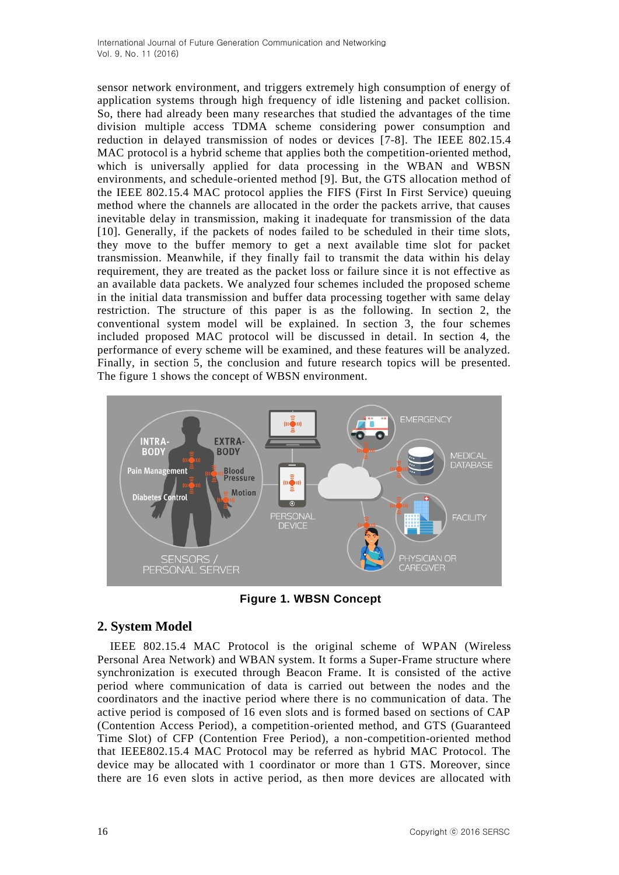sensor network environment, and triggers extremely high consumption of energy of application systems through high frequency of idle listening and packet collision. So, there had already been many researches that studied the advantages of the time division multiple access TDMA scheme considering power consumption and reduction in delayed transmission of nodes or devices [7-8]. The IEEE 802.15.4 MAC protocol is a hybrid scheme that applies both the competition-oriented method, which is universally applied for data processing in the WBAN and WBSN environments, and schedule-oriented method [9]. But, the GTS allocation method of the IEEE 802.15.4 MAC protocol applies the FIFS (First In First Service) queuing method where the channels are allocated in the order the packets arrive, that causes inevitable delay in transmission, making it inadequate for transmission of the data [10]. Generally, if the packets of nodes failed to be scheduled in their time slots, they move to the buffer memory to get a next available time slot for packet transmission. Meanwhile, if they finally fail to transmit the data within his delay requirement, they are treated as the packet loss or failure since it is not effective as an available data packets. We analyzed four schemes included the proposed scheme in the initial data transmission and buffer data processing together with same delay restriction. The structure of this paper is as the following. In section 2, the conventional system model will be explained. In section 3, the four schemes included proposed MAC protocol will be discussed in detail. In section 4, the performance of every scheme will be examined, and these features will be analyzed. Finally, in section 5, the conclusion and future research topics will be presented. The figure 1 shows the concept of WBSN environment.



**Figure 1. WBSN Concept**

### **2. System Model**

IEEE 802.15.4 MAC Protocol is the original scheme of WPAN (Wireless Personal Area Network) and WBAN system. It forms a Super-Frame structure where synchronization is executed through Beacon Frame. It is consisted of the active period where communication of data is carried out between the nodes and the coordinators and the inactive period where there is no communication of data. The active period is composed of 16 even slots and is formed based on sections of CAP (Contention Access Period), a competition-oriented method, and GTS (Guaranteed Time Slot) of CFP (Contention Free Period), a non-competition-oriented method that IEEE802.15.4 MAC Protocol may be referred as hybrid MAC Protocol. The device may be allocated with 1 coordinator or more than 1 GTS. Moreover, since there are 16 even slots in active period, as then more devices are allocated with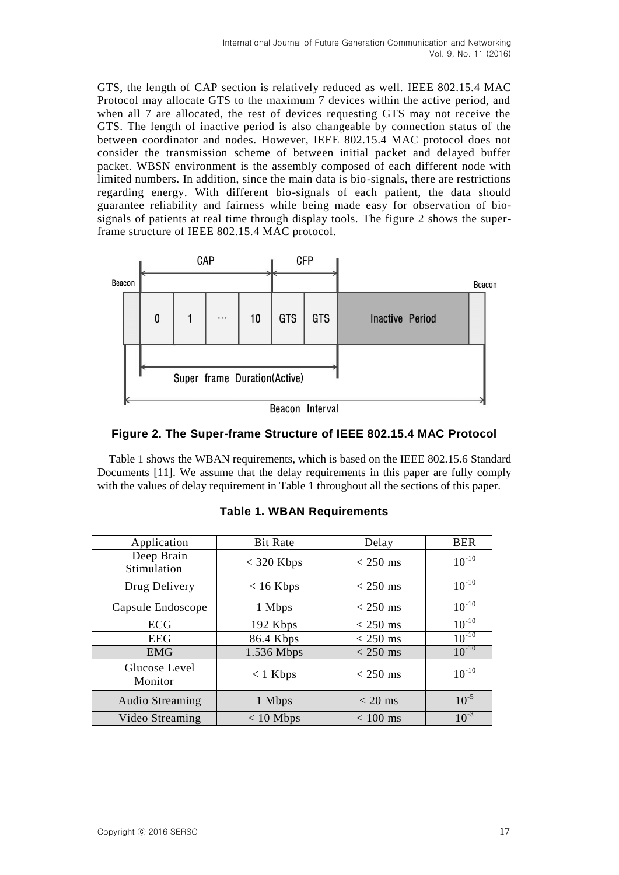GTS, the length of CAP section is relatively reduced as well. IEEE 802.15.4 MAC Protocol may allocate GTS to the maximum 7 devices within the active period, and when all 7 are allocated, the rest of devices requesting GTS may not receive the GTS. The length of inactive period is also changeable by connection status of the between coordinator and nodes. However, IEEE 802.15.4 MAC protocol does not consider the transmission scheme of between initial packet and delayed buffer packet. WBSN environment is the assembly composed of each different node with limited numbers. In addition, since the main data is bio-signals, there are restrictions regarding energy. With different bio-signals of each patient, the data should guarantee reliability and fairness while being made easy for observation of biosignals of patients at real time through display tools. The figure 2 shows the superframe structure of IEEE 802.15.4 MAC protocol.





Table 1 shows the WBAN requirements, which is based on the IEEE 802.15.6 Standard Documents [11]. We assume that the delay requirements in this paper are fully comply with the values of delay requirement in Table 1 throughout all the sections of this paper.

| Application               | <b>Bit Rate</b> | Delay      | <b>BER</b> |
|---------------------------|-----------------|------------|------------|
| Deep Brain<br>Stimulation | $<$ 320 Kbps    | $<$ 250 ms | $10^{-10}$ |
| Drug Delivery             | $< 16$ Kbps     | $<$ 250 ms | $10^{-10}$ |
| Capsule Endoscope         | 1 Mbps          | $<$ 250 ms | $10^{-10}$ |
| ECG                       | 192 Kbps        | $<$ 250 ms | $10^{-10}$ |
| <b>EEG</b>                | 86.4 Kbps       | $<$ 250 ms | $10^{-10}$ |
| <b>EMG</b>                | 1.536 Mbps      | $<$ 250 ms | $10^{-10}$ |
| Glucose Level<br>Monitor  | $< 1$ Kbps      | $<$ 250 ms | $10^{-10}$ |
| <b>Audio Streaming</b>    | 1 Mbps          | $<$ 20 ms  | $10^{-5}$  |
| Video Streaming           | $< 10$ Mbps     | $< 100$ ms | $10^{-3}$  |

| <b>Table 1. WBAN Requirements</b> |  |  |  |  |
|-----------------------------------|--|--|--|--|
|-----------------------------------|--|--|--|--|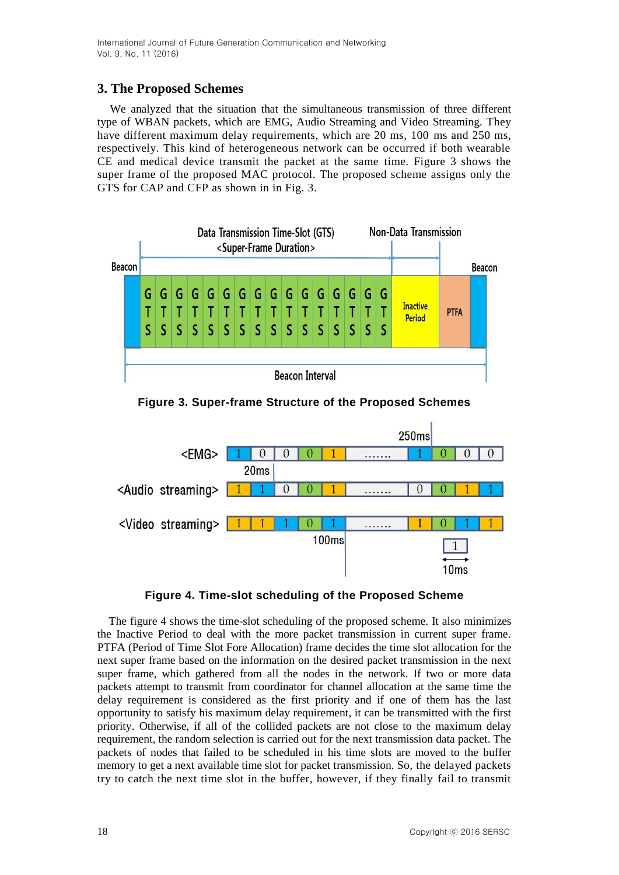## **3. The Proposed Schemes**

We analyzed that the situation that the simultaneous transmission of three different type of WBAN packets, which are EMG, Audio Streaming and Video Streaming. They have different maximum delay requirements, which are 20 ms, 100 ms and 250 ms, respectively. This kind of heterogeneous network can be occurred if both wearable CE and medical device transmit the packet at the same time. Figure 3 shows the super frame of the proposed MAC protocol. The proposed scheme assigns only the GTS for CAP and CFP as shown in in Fig. 3.



**Figure 3. Super-frame Structure of the Proposed Schemes**



### **Figure 4. Time-slot scheduling of the Proposed Scheme**

The figure 4 shows the time-slot scheduling of the proposed scheme. It also minimizes the Inactive Period to deal with the more packet transmission in current super frame. PTFA (Period of Time Slot Fore Allocation) frame decides the time slot allocation for the next super frame based on the information on the desired packet transmission in the next super frame, which gathered from all the nodes in the network. If two or more data packets attempt to transmit from coordinator for channel allocation at the same time the delay requirement is considered as the first priority and if one of them has the last opportunity to satisfy his maximum delay requirement, it can be transmitted with the first priority. Otherwise, if all of the collided packets are not close to the maximum delay requirement, the random selection is carried out for the next transmission data packet. The packets of nodes that failed to be scheduled in his time slots are moved to the buffer memory to get a next available time slot for packet transmission. So, the delayed packets try to catch the next time slot in the buffer, however, if they finally fail to transmit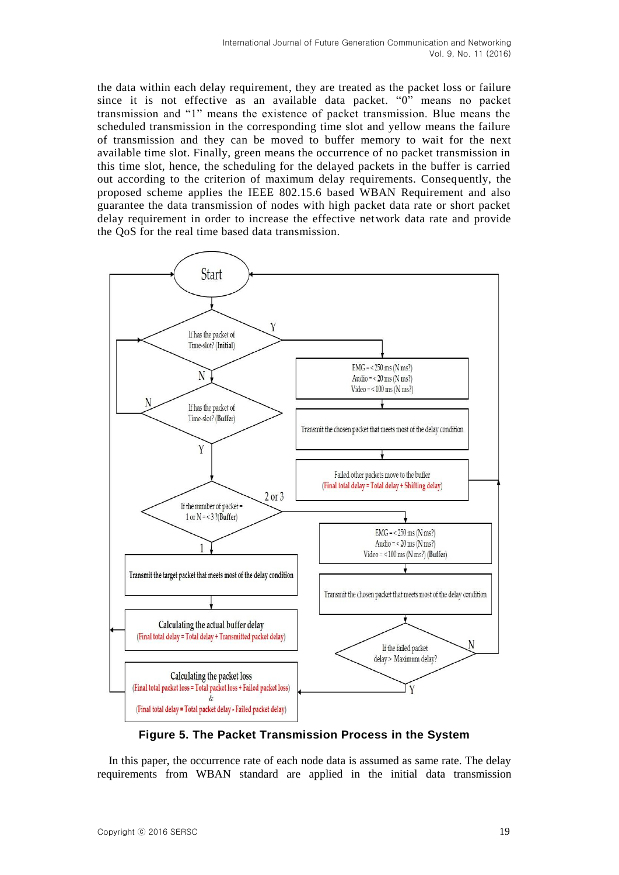the data within each delay requirement, they are treated as the packet loss or failure since it is not effective as an available data packet. "0" means no packet transmission and "1" means the existence of packet transmission. Blue means the scheduled transmission in the corresponding time slot and yellow means the failure of transmission and they can be moved to buffer memory to wait for the next available time slot. Finally, green means the occurrence of no packet transmission in this time slot, hence, the scheduling for the delayed packets in the buffer is carried out according to the criterion of maximum delay requirements. Consequently, the proposed scheme applies the IEEE 802.15.6 based WBAN Requirement and also guarantee the data transmission of nodes with high packet data rate or short packet delay requirement in order to increase the effective network data rate and provide the QoS for the real time based data transmission.



**Figure 5. The Packet Transmission Process in the System**

In this paper, the occurrence rate of each node data is assumed as same rate. The delay requirements from WBAN standard are applied in the initial data transmission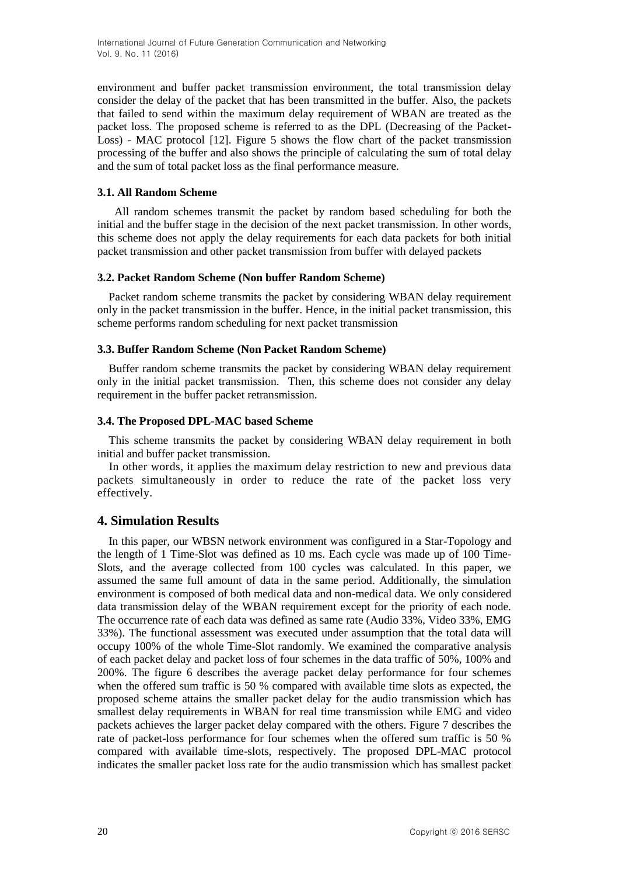environment and buffer packet transmission environment, the total transmission delay consider the delay of the packet that has been transmitted in the buffer. Also, the packets that failed to send within the maximum delay requirement of WBAN are treated as the packet loss. The proposed scheme is referred to as the DPL (Decreasing of the Packet-Loss) - MAC protocol [12]. Figure 5 shows the flow chart of the packet transmission processing of the buffer and also shows the principle of calculating the sum of total delay and the sum of total packet loss as the final performance measure.

#### **3.1. All Random Scheme**

All random schemes transmit the packet by random based scheduling for both the initial and the buffer stage in the decision of the next packet transmission. In other words, this scheme does not apply the delay requirements for each data packets for both initial packet transmission and other packet transmission from buffer with delayed packets

#### **3.2. Packet Random Scheme (Non buffer Random Scheme)**

Packet random scheme transmits the packet by considering WBAN delay requirement only in the packet transmission in the buffer. Hence, in the initial packet transmission, this scheme performs random scheduling for next packet transmission

#### **3.3. Buffer Random Scheme (Non Packet Random Scheme)**

Buffer random scheme transmits the packet by considering WBAN delay requirement only in the initial packet transmission. Then, this scheme does not consider any delay requirement in the buffer packet retransmission.

#### **3.4. The Proposed DPL-MAC based Scheme**

This scheme transmits the packet by considering WBAN delay requirement in both initial and buffer packet transmission.

In other words, it applies the maximum delay restriction to new and previous data packets simultaneously in order to reduce the rate of the packet loss very effectively.

### **4. Simulation Results**

In this paper, our WBSN network environment was configured in a Star-Topology and the length of 1 Time-Slot was defined as 10 ms. Each cycle was made up of 100 Time-Slots, and the average collected from 100 cycles was calculated. In this paper, we assumed the same full amount of data in the same period. Additionally, the simulation environment is composed of both medical data and non-medical data. We only considered data transmission delay of the WBAN requirement except for the priority of each node. The occurrence rate of each data was defined as same rate (Audio 33%, Video 33%, EMG 33%). The functional assessment was executed under assumption that the total data will occupy 100% of the whole Time-Slot randomly. We examined the comparative analysis of each packet delay and packet loss of four schemes in the data traffic of 50%, 100% and 200%. The figure 6 describes the average packet delay performance for four schemes when the offered sum traffic is 50 % compared with available time slots as expected, the proposed scheme attains the smaller packet delay for the audio transmission which has smallest delay requirements in WBAN for real time transmission while EMG and video packets achieves the larger packet delay compared with the others. Figure 7 describes the rate of packet-loss performance for four schemes when the offered sum traffic is 50 % compared with available time-slots, respectively. The proposed DPL-MAC protocol indicates the smaller packet loss rate for the audio transmission which has smallest packet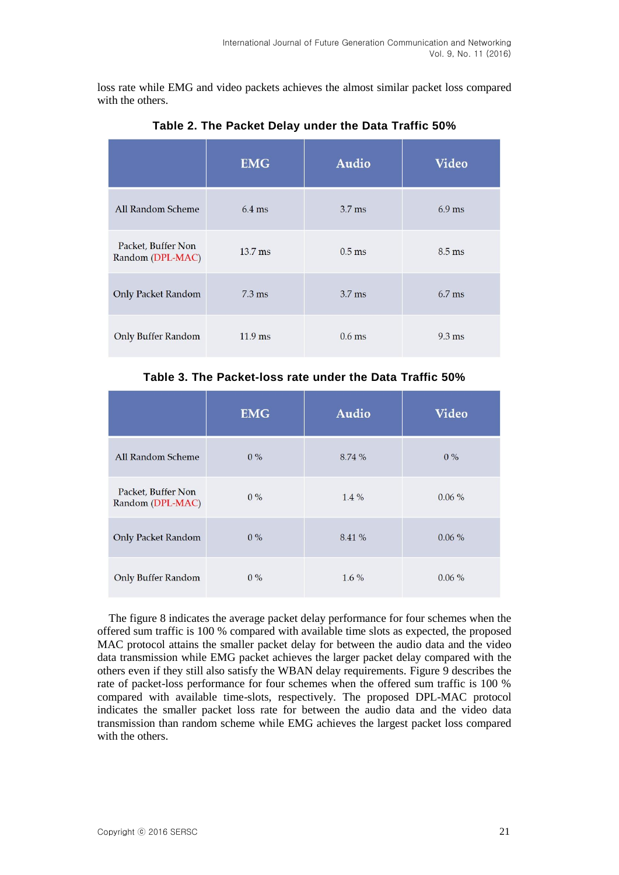loss rate while EMG and video packets achieves the almost similar packet loss compared with the others.

|                                        | <b>EMG</b>       | <b>Audio</b>      | <b>Video</b>     |
|----------------------------------------|------------------|-------------------|------------------|
| All Random Scheme                      | $6.4$ ms         | $3.7$ ms          | $6.9$ ms         |
| Packet, Buffer Non<br>Random (DPL-MAC) | $13.7$ ms        | $0.5$ ms          | $8.5 \text{ ms}$ |
| Only Packet Random                     | $7.3 \text{ ms}$ | 3.7 <sub>ms</sub> | $6.7$ ms         |
| Only Buffer Random                     | $11.9$ ms        | $0.6$ ms          | $9.3 \text{ ms}$ |

**Table 2. The Packet Delay under the Data Traffic 50%**

### **Table 3. The Packet-loss rate under the Data Traffic 50%**

|                                        | <b>EMG</b> | <b>Audio</b> | <b>Video</b> |
|----------------------------------------|------------|--------------|--------------|
| All Random Scheme                      | $0\%$      | 8.74 %       | $0\%$        |
| Packet, Buffer Non<br>Random (DPL-MAC) | $0\%$      | $1.4\%$      | $0.06\%$     |
| <b>Only Packet Random</b>              | $0\%$      | 8.41 %       | $0.06\%$     |
| <b>Only Buffer Random</b>              | $0\%$      | $1.6\%$      | 0.06%        |

The figure 8 indicates the average packet delay performance for four schemes when the offered sum traffic is 100 % compared with available time slots as expected, the proposed MAC protocol attains the smaller packet delay for between the audio data and the video data transmission while EMG packet achieves the larger packet delay compared with the others even if they still also satisfy the WBAN delay requirements. Figure 9 describes the rate of packet-loss performance for four schemes when the offered sum traffic is 100 % compared with available time-slots, respectively. The proposed DPL-MAC protocol indicates the smaller packet loss rate for between the audio data and the video data transmission than random scheme while EMG achieves the largest packet loss compared with the others.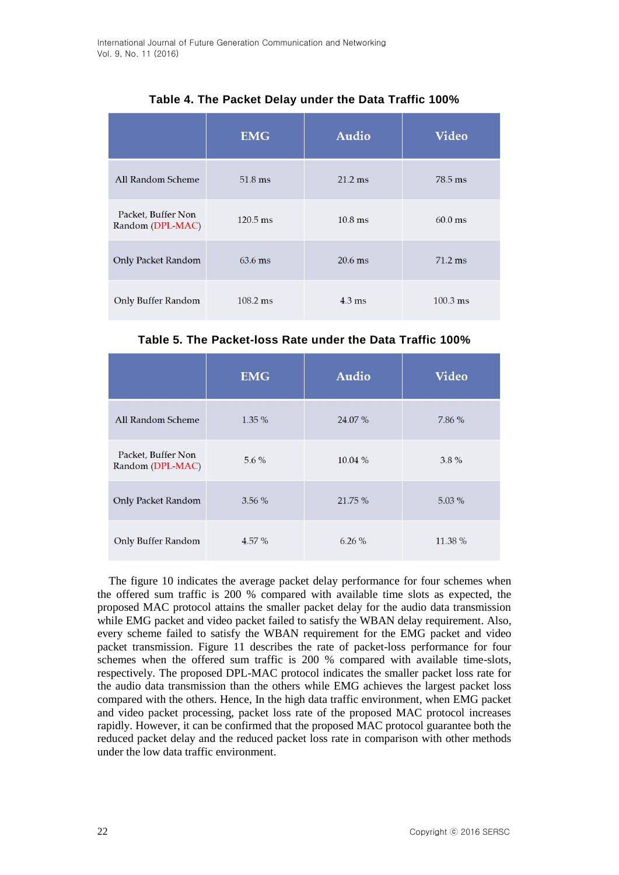|                                        | <b>EMG</b>         | <b>Audio</b>      | <b>Video</b>       |
|----------------------------------------|--------------------|-------------------|--------------------|
| All Random Scheme                      | 51.8 ms            | $21.2 \text{ ms}$ | 78.5 ms            |
| Packet, Buffer Non<br>Random (DPL-MAC) | $120.5 \text{ ms}$ | $10.8$ ms         | $60.0$ ms          |
| <b>Only Packet Random</b>              | $63.6$ ms          | $20.6$ ms         | $71.2 \text{ ms}$  |
| <b>Only Buffer Random</b>              | $108.2 \text{ ms}$ | $4.3 \text{ ms}$  | $100.3 \text{ ms}$ |

## **Table 4. The Packet Delay under the Data Traffic 100%**

**Table 5. The Packet-loss Rate under the Data Traffic 100%**

|                                        | <b>EMG</b> | <b>Audio</b> | <b>Video</b> |
|----------------------------------------|------------|--------------|--------------|
| All Random Scheme                      | 1.35 %     | 24.07 %      | 7.86 %       |
| Packet, Buffer Non<br>Random (DPL-MAC) | $5.6\%$    | 10.04 %      | $3.8\%$      |
| <b>Only Packet Random</b>              | 3.56%      | 21.75 %      | 5.03%        |
| <b>Only Buffer Random</b>              | 4.57 %     | 6.26%        | 11.38 %      |

The figure 10 indicates the average packet delay performance for four schemes when the offered sum traffic is 200 % compared with available time slots as expected, the proposed MAC protocol attains the smaller packet delay for the audio data transmission while EMG packet and video packet failed to satisfy the WBAN delay requirement. Also, every scheme failed to satisfy the WBAN requirement for the EMG packet and video packet transmission. Figure 11 describes the rate of packet-loss performance for four schemes when the offered sum traffic is 200 % compared with available time-slots, respectively. The proposed DPL-MAC protocol indicates the smaller packet loss rate for the audio data transmission than the others while EMG achieves the largest packet loss compared with the others. Hence, In the high data traffic environment, when EMG packet and video packet processing, packet loss rate of the proposed MAC protocol increases rapidly. However, it can be confirmed that the proposed MAC protocol guarantee both the reduced packet delay and the reduced packet loss rate in comparison with other methods under the low data traffic environment.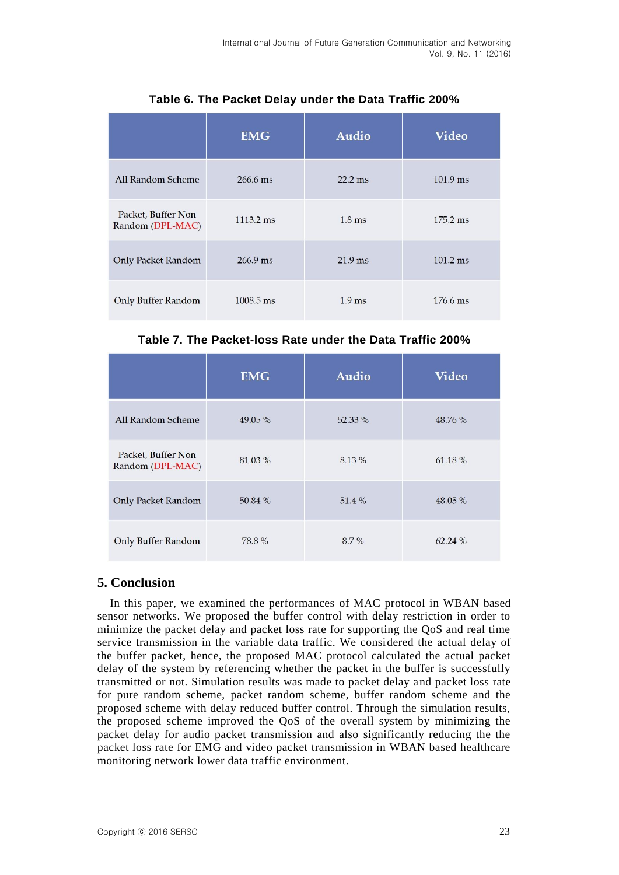|                                        | <b>EMG</b>          | <b>Audio</b>      | <b>Video</b>       |
|----------------------------------------|---------------------|-------------------|--------------------|
| <b>All Random Scheme</b>               | 266.6 ms            | $22.2$ ms         | $101.9$ ms         |
| Packet, Buffer Non<br>Random (DPL-MAC) | $1113.2 \text{ ms}$ | $1.8$ ms          | $175.2 \text{ ms}$ |
| <b>Only Packet Random</b>              | $266.9$ ms          | $21.9$ ms         | $101.2 \text{ ms}$ |
| <b>Only Buffer Random</b>              | $1008.5 \text{ ms}$ | 1.9 <sub>ms</sub> | 176.6 ms           |

**Table 6. The Packet Delay under the Data Traffic 200%**

**Table 7. The Packet-loss Rate under the Data Traffic 200%**

|                                        | <b>EMG</b> | <b>Audio</b> | <b>Video</b> |
|----------------------------------------|------------|--------------|--------------|
| All Random Scheme                      | 49.05 %    | 52.33 %      | 48.76 %      |
| Packet, Buffer Non<br>Random (DPL-MAC) | 81.03%     | 8.13%        | 61.18%       |
| <b>Only Packet Random</b>              | 50.84 %    | 51.4%        | 48.05 %      |
| <b>Only Buffer Random</b>              | 78.8%      | 8.7%         | 62.24 %      |

## **5. Conclusion**

In this paper, we examined the performances of MAC protocol in WBAN based sensor networks. We proposed the buffer control with delay restriction in order to minimize the packet delay and packet loss rate for supporting the QoS and real time service transmission in the variable data traffic. We considered the actual delay of the buffer packet, hence, the proposed MAC protocol calculated the actual packet delay of the system by referencing whether the packet in the buffer is successfully transmitted or not. Simulation results was made to packet delay and packet loss rate for pure random scheme, packet random scheme, buffer random scheme and the proposed scheme with delay reduced buffer control. Through the simulation results, the proposed scheme improved the QoS of the overall system by minimizing the packet delay for audio packet transmission and also significantly reducing the the packet loss rate for EMG and video packet transmission in WBAN based healthcare monitoring network lower data traffic environment.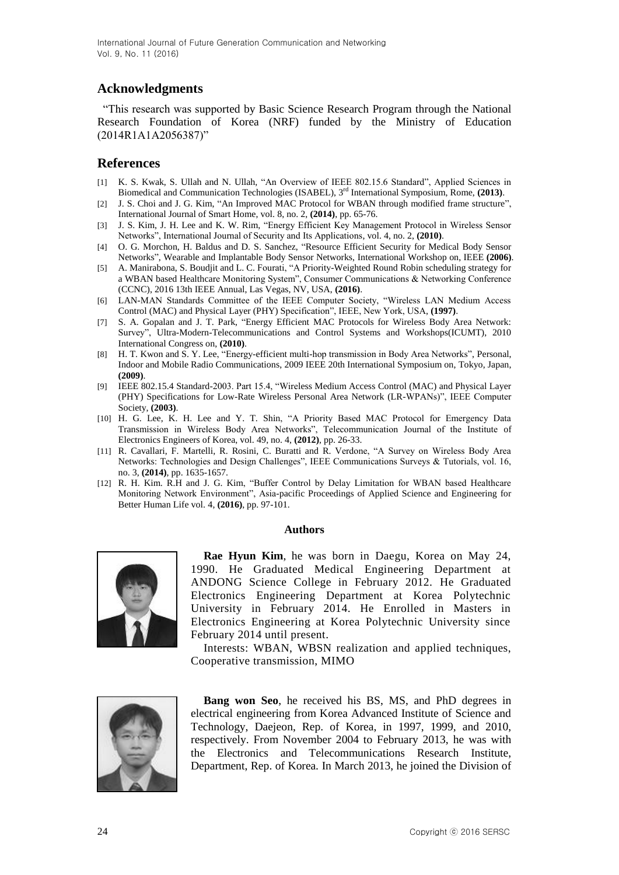### **Acknowledgments**

"This research was supported by Basic Science Research Program through the National Research Foundation of Korea (NRF) funded by the Ministry of Education (2014R1A1A2056387)"

### **References**

- [1] K. S. Kwak, S. Ullah and N. Ullah, "An Overview of IEEE 802.15.6 Standard", Applied Sciences in Biomedical and Communication Technologies (ISABEL), 3rd International Symposium, Rome, **(2013)**.
- [2] J. S. Choi and J. G. Kim, "An Improved MAC Protocol for WBAN through modified frame structure", International Journal of Smart Home, vol. 8, no. 2, **(2014)**, pp. 65-76.
- [3] J. S. Kim, J. H. Lee and K. W. Rim, "Energy Efficient Key Management Protocol in Wireless Sensor Networks", International Journal of Security and Its Applications, vol. 4, no. 2, **(2010)**.
- [4] O. G. Morchon, H. Baldus and D. S. Sanchez, "Resource Efficient Security for Medical Body Sensor Networks", Wearable and Implantable Body Sensor Networks, International Workshop on, IEEE **(2006)**.
- [5] A. Manirabona, S. Boudjit and L. C. Fourati, "A Priority-Weighted Round Robin scheduling strategy for a WBAN based Healthcare Monitoring System", Consumer Communications & Networking Conference (CCNC), 2016 13th IEEE Annual, Las Vegas, NV, USA, **(2016)**.
- [6] LAN-MAN Standards Committee of the IEEE Computer Society, "Wireless LAN Medium Access Control (MAC) and Physical Layer (PHY) Specification", IEEE, New York, USA, **(1997)**.
- [7] S. A. Gopalan and J. T. Park, "Energy Efficient MAC Protocols for Wireless Body Area Network: Survey", Ultra-Modern-Telecommunications and Control Systems and Workshops(ICUMT), 2010 International Congress on, **(2010)**.
- [8] H. T. Kwon and S. Y. Lee, "Energy-efficient multi-hop transmission in Body Area Networks", Personal, Indoor and Mobile Radio Communications, 2009 IEEE 20th International Symposium on, Tokyo, Japan, **(2009)**.
- [9] IEEE 802.15.4 Standard-2003. Part 15.4, "Wireless Medium Access Control (MAC) and Physical Layer (PHY) Specifications for Low-Rate Wireless Personal Area Network (LR-WPANs)", IEEE Computer Society, **(2003)**.
- [10] H. G. Lee, K. H. Lee and Y. T. Shin, "A Priority Based MAC Protocol for Emergency Data Transmission in Wireless Body Area Networks", Telecommunication Journal of the Institute of Electronics Engineers of Korea, vol. 49, no. 4, **(2012)**, pp. 26-33.
- [11] R. Cavallari, F. Martelli, R. Rosini, C. Buratti and R. Verdone, "A Survey on Wireless Body Area Networks: Technologies and Design Challenges", IEEE Communications Surveys & Tutorials, vol. 16, no. 3, **(2014)**, pp. 1635-1657.
- [12] R. H. Kim. R.H and J. G. Kim, "Buffer Control by Delay Limitation for WBAN based Healthcare Monitoring Network Environment", Asia-pacific Proceedings of Applied Science and Engineering for Better Human Life vol. 4, **(2016)**, pp. 97-101.

#### **Authors**



**Rae Hyun Kim**, he was born in Daegu, Korea on May 24, 1990. He Graduated Medical Engineering Department at ANDONG Science College in February 2012. He Graduated Electronics Engineering Department at Korea Polytechnic University in February 2014. He Enrolled in Masters in Electronics Engineering at Korea Polytechnic University since February 2014 until present.

Interests: WBAN, WBSN realization and applied techniques, Cooperative transmission, MIMO



**Bang won Seo**, he received his BS, MS, and PhD degrees in electrical engineering from Korea Advanced Institute of Science and Technology, Daejeon, Rep. of Korea, in 1997, 1999, and 2010, respectively. From November 2004 to February 2013, he was with the Electronics and Telecommunications Research Institute, Department, Rep. of Korea. In March 2013, he joined the Division of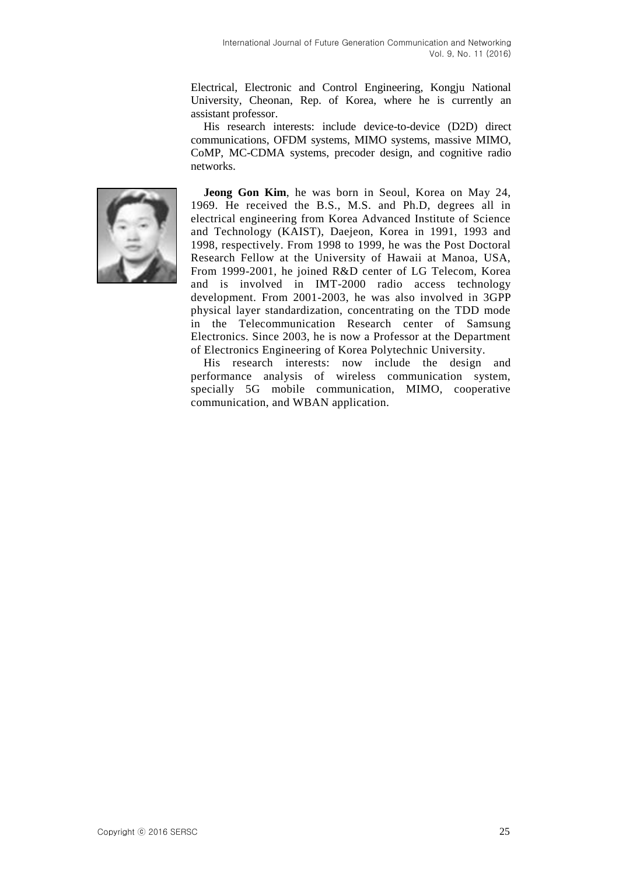Electrical, Electronic and Control Engineering, Kongju National University, Cheonan, Rep. of Korea, where he is currently an assistant professor.

His research interests: include device-to-device (D2D) direct communications, OFDM systems, MIMO systems, massive MIMO, CoMP, MC-CDMA systems, precoder design, and cognitive radio networks.



**Jeong Gon Kim**, he was born in Seoul, Korea on May 24, 1969. He received the B.S., M.S. and Ph.D, degrees all in electrical engineering from Korea Advanced Institute of Science and Technology (KAIST), Daejeon, Korea in 1991, 1993 and 1998, respectively. From 1998 to 1999, he was the Post Doctoral Research Fellow at the University of Hawaii at Manoa, USA, From 1999-2001, he joined R&D center of LG Telecom, Korea and is involved in IMT-2000 radio access technology development. From 2001-2003, he was also involved in 3GPP physical layer standardization, concentrating on the TDD mode in the Telecommunication Research center of Samsung Electronics. Since 2003, he is now a Professor at the Department of Electronics Engineering of Korea Polytechnic University.

His research interests: now include the design and performance analysis of wireless communication system, specially 5G mobile communication, MIMO, cooperative communication, and WBAN application.